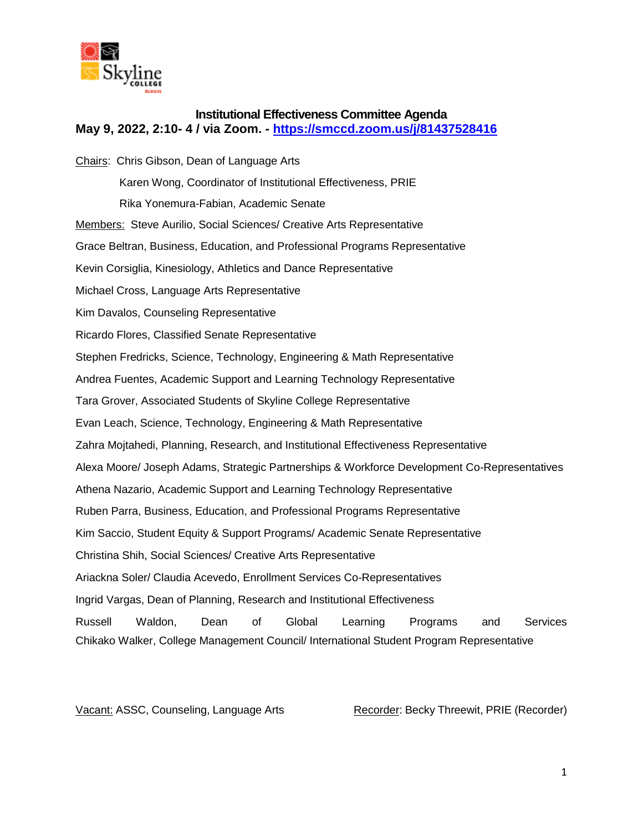

# **Institutional Effectiveness Committee Agenda May 9, 2022, 2:10- 4 / via Zoom. - <https://smccd.zoom.us/j/81437528416>**

Chairs: Chris Gibson, Dean of Language Arts Karen Wong, Coordinator of Institutional Effectiveness, PRIE Rika Yonemura-Fabian, Academic Senate Members: Steve Aurilio, Social Sciences/ Creative Arts Representative Grace Beltran, Business, Education, and Professional Programs Representative Kevin Corsiglia, Kinesiology, Athletics and Dance Representative Michael Cross, Language Arts Representative Kim Davalos, Counseling Representative Ricardo Flores, Classified Senate Representative Stephen Fredricks, Science, Technology, Engineering & Math Representative Andrea Fuentes, Academic Support and Learning Technology Representative Tara Grover, Associated Students of Skyline College Representative Evan Leach, Science, Technology, Engineering & Math Representative Zahra Mojtahedi, Planning, Research, and Institutional Effectiveness Representative Alexa Moore/ Joseph Adams, Strategic Partnerships & Workforce Development Co-Representatives Athena Nazario, Academic Support and Learning Technology Representative Ruben Parra, Business, Education, and Professional Programs Representative Kim Saccio, Student Equity & Support Programs/ Academic Senate Representative Christina Shih, Social Sciences/ Creative Arts Representative Ariackna Soler/ Claudia Acevedo, Enrollment Services Co-Representatives Ingrid Vargas, Dean of Planning, Research and Institutional Effectiveness Russell Waldon, Dean of Global Learning Programs and Services Chikako Walker, College Management Council/ International Student Program Representative

Vacant: ASSC, Counseling, Language Arts Recorder: Becky Threewit, PRIE (Recorder)